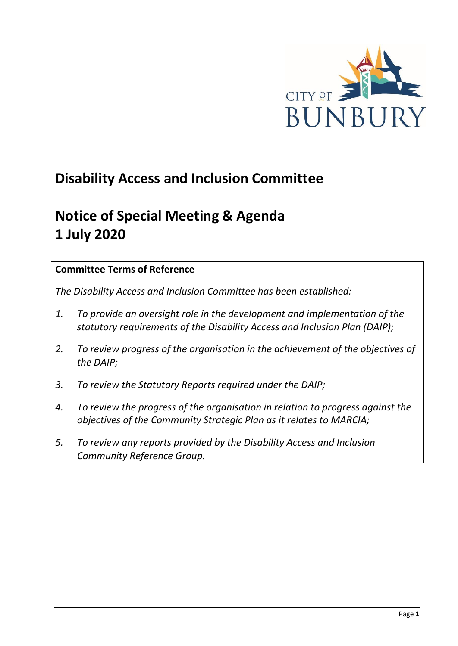

# **Disability Access and Inclusion Committee**

# **Notice of Special Meeting & Agenda 1 July 2020**

## **Committee Terms of Reference**

*The Disability Access and Inclusion Committee has been established:* 

- *1. To provide an oversight role in the development and implementation of the statutory requirements of the Disability Access and Inclusion Plan (DAIP);*
- *2. To review progress of the organisation in the achievement of the objectives of the DAIP;*
- *3. To review the Statutory Reports required under the DAIP;*
- *4. To review the progress of the organisation in relation to progress against the objectives of the Community Strategic Plan as it relates to MARCIA;*
- *5. To review any reports provided by the Disability Access and Inclusion Community Reference Group.*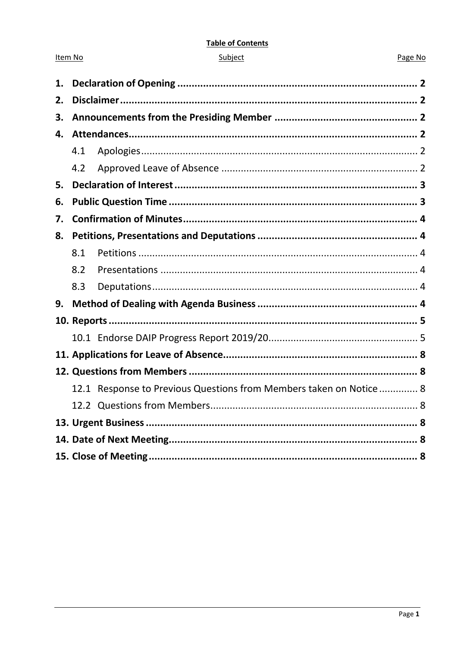#### **Table of Contents**

| ubie |  |
|------|--|
|      |  |
|      |  |

Item No

#### Page No

| 1. |     |                                                                     |  |
|----|-----|---------------------------------------------------------------------|--|
| 2. |     |                                                                     |  |
| 3. |     |                                                                     |  |
| 4. |     |                                                                     |  |
|    | 4.1 |                                                                     |  |
|    | 4.2 |                                                                     |  |
| 5. |     |                                                                     |  |
| 6. |     |                                                                     |  |
| 7. |     |                                                                     |  |
| 8. |     |                                                                     |  |
|    | 8.1 |                                                                     |  |
|    | 8.2 |                                                                     |  |
|    | 8.3 |                                                                     |  |
| 9. |     |                                                                     |  |
|    |     |                                                                     |  |
|    |     |                                                                     |  |
|    |     |                                                                     |  |
|    |     |                                                                     |  |
|    |     | 12.1 Response to Previous Questions from Members taken on Notice  8 |  |
|    |     |                                                                     |  |
|    |     |                                                                     |  |
|    |     |                                                                     |  |
|    |     |                                                                     |  |
|    |     |                                                                     |  |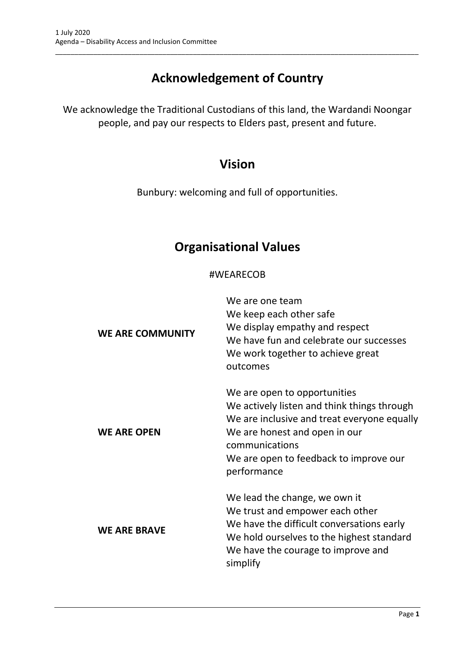# **Acknowledgement of Country**

\_\_\_\_\_\_\_\_\_\_\_\_\_\_\_\_\_\_\_\_\_\_\_\_\_\_\_\_\_\_\_\_\_\_\_\_\_\_\_\_\_\_\_\_\_\_\_\_\_\_\_\_\_\_\_\_\_\_\_\_\_\_\_\_\_\_\_\_\_\_\_\_\_\_\_\_\_\_\_\_\_\_\_\_\_\_\_\_\_\_\_\_\_\_\_

We acknowledge the Traditional Custodians of this land, the Wardandi Noongar people, and pay our respects to Elders past, present and future.

# **Vision**

Bunbury: welcoming and full of opportunities.

# **Organisational Values**

## #WEARECOB

| <b>WE ARE COMMUNITY</b> | We are one team<br>We keep each other safe<br>We display empathy and respect<br>We have fun and celebrate our successes<br>We work together to achieve great<br>outcomes                                                               |
|-------------------------|----------------------------------------------------------------------------------------------------------------------------------------------------------------------------------------------------------------------------------------|
| <b>WE ARE OPEN</b>      | We are open to opportunities<br>We actively listen and think things through<br>We are inclusive and treat everyone equally<br>We are honest and open in our<br>communications<br>We are open to feedback to improve our<br>performance |
| <b>WE ARE BRAVE</b>     | We lead the change, we own it<br>We trust and empower each other<br>We have the difficult conversations early<br>We hold ourselves to the highest standard<br>We have the courage to improve and<br>simplify                           |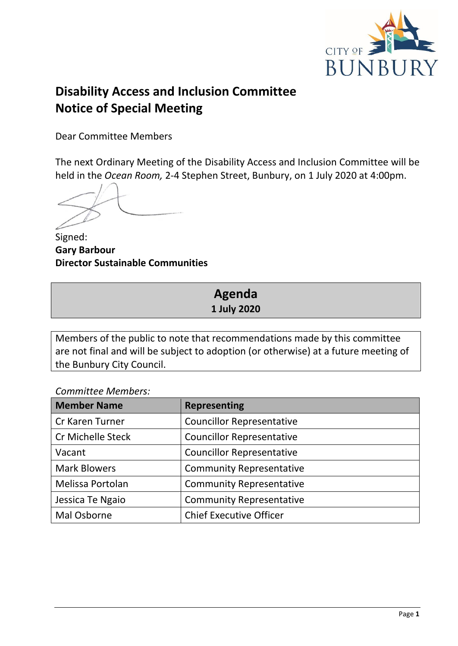

# **Disability Access and Inclusion Committee Notice of Special Meeting**

Dear Committee Members

The next Ordinary Meeting of the Disability Access and Inclusion Committee will be held in the *Ocean Room,* 2-4 Stephen Street, Bunbury, on 1 July 2020 at 4:00pm.

Signed: **Gary Barbour Director Sustainable Communities**

# **Agenda 1 July 2020**

Members of the public to note that recommendations made by this committee are not final and will be subject to adoption (or otherwise) at a future meeting of the Bunbury City Council.

*Committee Members:*

| <b>Member Name</b>       | <b>Representing</b>              |
|--------------------------|----------------------------------|
| Cr Karen Turner          | <b>Councillor Representative</b> |
| <b>Cr Michelle Steck</b> | <b>Councillor Representative</b> |
| Vacant                   | <b>Councillor Representative</b> |
| <b>Mark Blowers</b>      | <b>Community Representative</b>  |
| Melissa Portolan         | <b>Community Representative</b>  |
| Jessica Te Ngaio         | <b>Community Representative</b>  |
| Mal Osborne              | <b>Chief Executive Officer</b>   |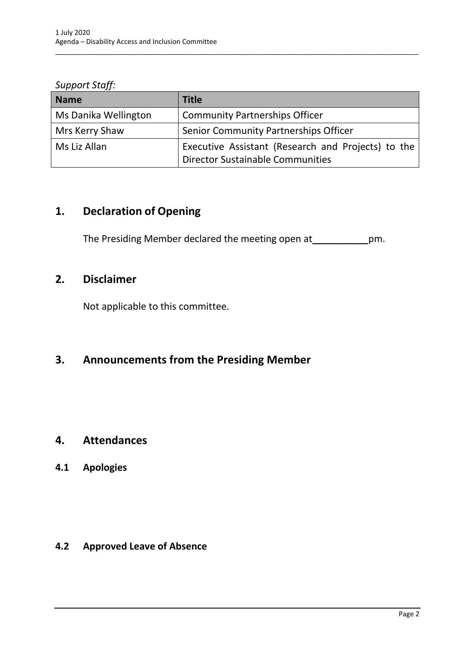*Support Staff:*

| <b>Name</b>          | <b>Title</b>                                                                                        |
|----------------------|-----------------------------------------------------------------------------------------------------|
| Ms Danika Wellington | <b>Community Partnerships Officer</b>                                                               |
| Mrs Kerry Shaw       | Senior Community Partnerships Officer                                                               |
| Ms Liz Allan         | Executive Assistant (Research and Projects) to the<br><sup>1</sup> Director Sustainable Communities |

\_\_\_\_\_\_\_\_\_\_\_\_\_\_\_\_\_\_\_\_\_\_\_\_\_\_\_\_\_\_\_\_\_\_\_\_\_\_\_\_\_\_\_\_\_\_\_\_\_\_\_\_\_\_\_\_\_\_\_\_\_\_\_\_\_\_\_\_\_\_\_\_\_\_\_\_\_\_\_\_\_\_\_\_\_\_\_\_\_\_\_\_\_\_\_

# <span id="page-4-0"></span>**1. Declaration of Opening**

The Presiding Member declared the meeting open at \_\_\_\_\_\_\_\_\_\_\_\_\_pm.

## <span id="page-4-1"></span>**2. Disclaimer**

Not applicable to this committee.

# <span id="page-4-2"></span>**3. Announcements from the Presiding Member**

## <span id="page-4-3"></span>**4. Attendances**

## <span id="page-4-4"></span>**4.1 Apologies**

## <span id="page-4-5"></span>**4.2 Approved Leave of Absence**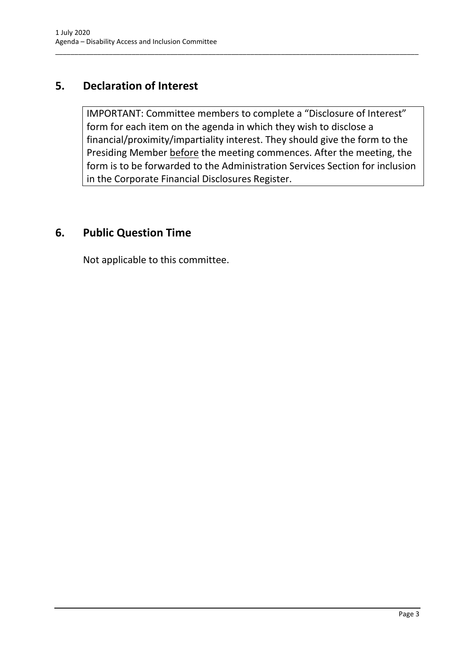## <span id="page-5-0"></span>**5. Declaration of Interest**

IMPORTANT: Committee members to complete a "Disclosure of Interest" form for each item on the agenda in which they wish to disclose a financial/proximity/impartiality interest. They should give the form to the Presiding Member before the meeting commences. After the meeting, the form is to be forwarded to the Administration Services Section for inclusion in the Corporate Financial Disclosures Register.

\_\_\_\_\_\_\_\_\_\_\_\_\_\_\_\_\_\_\_\_\_\_\_\_\_\_\_\_\_\_\_\_\_\_\_\_\_\_\_\_\_\_\_\_\_\_\_\_\_\_\_\_\_\_\_\_\_\_\_\_\_\_\_\_\_\_\_\_\_\_\_\_\_\_\_\_\_\_\_\_\_\_\_\_\_\_\_\_\_\_\_\_\_\_\_

## <span id="page-5-1"></span>**6. Public Question Time**

Not applicable to this committee.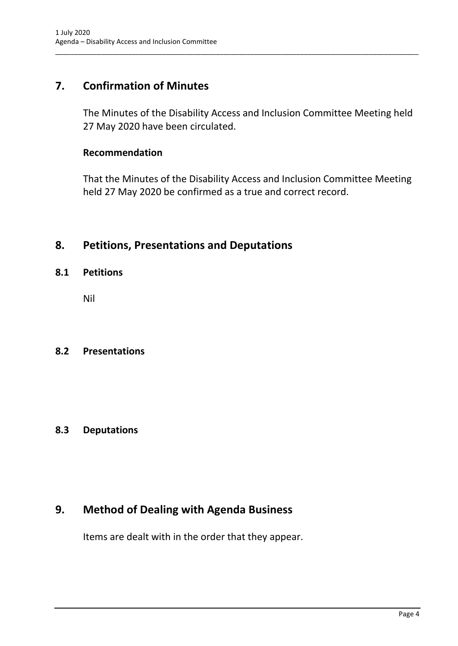## <span id="page-6-0"></span>**7. Confirmation of Minutes**

The Minutes of the Disability Access and Inclusion Committee Meeting held 27 May 2020 have been circulated.

\_\_\_\_\_\_\_\_\_\_\_\_\_\_\_\_\_\_\_\_\_\_\_\_\_\_\_\_\_\_\_\_\_\_\_\_\_\_\_\_\_\_\_\_\_\_\_\_\_\_\_\_\_\_\_\_\_\_\_\_\_\_\_\_\_\_\_\_\_\_\_\_\_\_\_\_\_\_\_\_\_\_\_\_\_\_\_\_\_\_\_\_\_\_\_

### **Recommendation**

That the Minutes of the Disability Access and Inclusion Committee Meeting held 27 May 2020 be confirmed as a true and correct record.

## <span id="page-6-1"></span>**8. Petitions, Presentations and Deputations**

### <span id="page-6-2"></span>**8.1 Petitions**

Nil

### <span id="page-6-3"></span>**8.2 Presentations**

## <span id="page-6-4"></span>**8.3 Deputations**

## <span id="page-6-5"></span>**9. Method of Dealing with Agenda Business**

Items are dealt with in the order that they appear.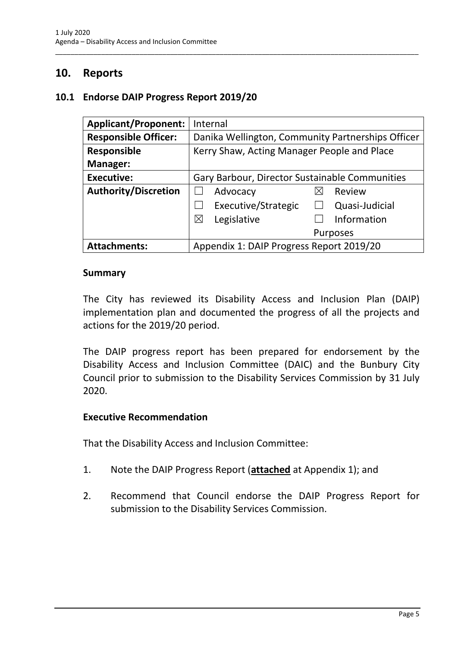## <span id="page-7-0"></span>**10. Reports**

## <span id="page-7-1"></span>**10.1 Endorse DAIP Progress Report 2019/20**

| <b>Applicant/Proponent:</b> | Internal                                          |
|-----------------------------|---------------------------------------------------|
| <b>Responsible Officer:</b> | Danika Wellington, Community Partnerships Officer |
| Responsible                 | Kerry Shaw, Acting Manager People and Place       |
| Manager:                    |                                                   |
| <b>Executive:</b>           | Gary Barbour, Director Sustainable Communities    |
| <b>Authority/Discretion</b> | Advocacy<br>Review<br>⋉                           |
|                             | Executive/Strategic<br>Quasi-Judicial             |
|                             | Legislative<br>$\boxtimes$<br>Information         |
|                             | <b>Purposes</b>                                   |
| <b>Attachments:</b>         | Appendix 1: DAIP Progress Report 2019/20          |

\_\_\_\_\_\_\_\_\_\_\_\_\_\_\_\_\_\_\_\_\_\_\_\_\_\_\_\_\_\_\_\_\_\_\_\_\_\_\_\_\_\_\_\_\_\_\_\_\_\_\_\_\_\_\_\_\_\_\_\_\_\_\_\_\_\_\_\_\_\_\_\_\_\_\_\_\_\_\_\_\_\_\_\_\_\_\_\_\_\_\_\_\_\_\_

#### **Summary**

The City has reviewed its Disability Access and Inclusion Plan (DAIP) implementation plan and documented the progress of all the projects and actions for the 2019/20 period.

The DAIP progress report has been prepared for endorsement by the Disability Access and Inclusion Committee (DAIC) and the Bunbury City Council prior to submission to the Disability Services Commission by 31 July 2020.

#### **Executive Recommendation**

That the Disability Access and Inclusion Committee:

- 1. Note the DAIP Progress Report (**attached** at Appendix 1); and
- 2. Recommend that Council endorse the DAIP Progress Report for submission to the Disability Services Commission.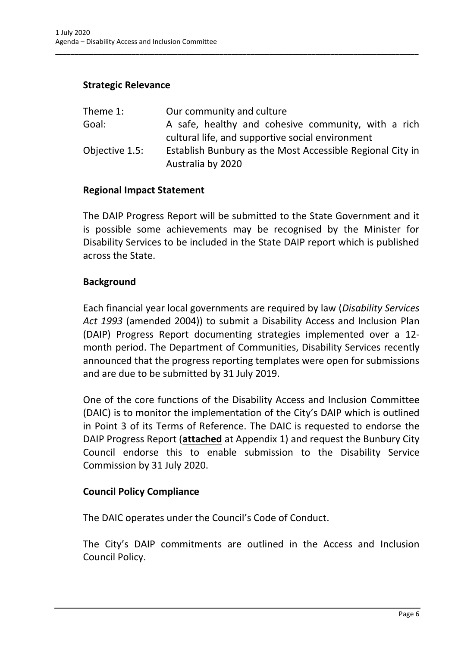## **Strategic Relevance**

| Theme 1:       | Our community and culture                                 |
|----------------|-----------------------------------------------------------|
| Goal:          | A safe, healthy and cohesive community, with a rich       |
|                | cultural life, and supportive social environment          |
| Objective 1.5: | Establish Bunbury as the Most Accessible Regional City in |
|                | Australia by 2020                                         |

\_\_\_\_\_\_\_\_\_\_\_\_\_\_\_\_\_\_\_\_\_\_\_\_\_\_\_\_\_\_\_\_\_\_\_\_\_\_\_\_\_\_\_\_\_\_\_\_\_\_\_\_\_\_\_\_\_\_\_\_\_\_\_\_\_\_\_\_\_\_\_\_\_\_\_\_\_\_\_\_\_\_\_\_\_\_\_\_\_\_\_\_\_\_\_

#### **Regional Impact Statement**

The DAIP Progress Report will be submitted to the State Government and it is possible some achievements may be recognised by the Minister for Disability Services to be included in the State DAIP report which is published across the State.

#### **Background**

Each financial year local governments are required by law (*Disability Services Act 1993* (amended 2004)) to submit a Disability Access and Inclusion Plan (DAIP) Progress Report documenting strategies implemented over a 12 month period. The Department of Communities, Disability Services recently announced that the progress reporting templates were open for submissions and are due to be submitted by 31 July 2019.

One of the core functions of the Disability Access and Inclusion Committee (DAIC) is to monitor the implementation of the City's DAIP which is outlined in Point 3 of its Terms of Reference. The DAIC is requested to endorse the DAIP Progress Report (**attached** at Appendix 1) and request the Bunbury City Council endorse this to enable submission to the Disability Service Commission by 31 July 2020.

#### **Council Policy Compliance**

The DAIC operates under the Council's Code of Conduct.

The City's DAIP commitments are outlined in the Access and Inclusion Council Policy.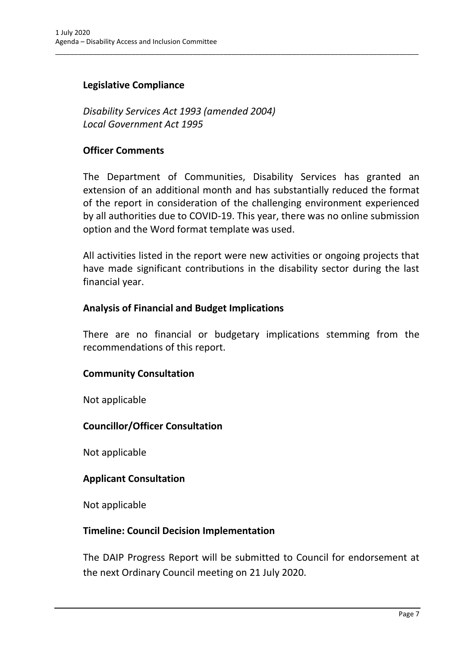## **Legislative Compliance**

*Disability Services Act 1993 (amended 2004) Local Government Act 1995*

#### **Officer Comments**

The Department of Communities, Disability Services has granted an extension of an additional month and has substantially reduced the format of the report in consideration of the challenging environment experienced by all authorities due to COVID-19. This year, there was no online submission option and the Word format template was used.

\_\_\_\_\_\_\_\_\_\_\_\_\_\_\_\_\_\_\_\_\_\_\_\_\_\_\_\_\_\_\_\_\_\_\_\_\_\_\_\_\_\_\_\_\_\_\_\_\_\_\_\_\_\_\_\_\_\_\_\_\_\_\_\_\_\_\_\_\_\_\_\_\_\_\_\_\_\_\_\_\_\_\_\_\_\_\_\_\_\_\_\_\_\_\_

All activities listed in the report were new activities or ongoing projects that have made significant contributions in the disability sector during the last financial year.

#### **Analysis of Financial and Budget Implications**

There are no financial or budgetary implications stemming from the recommendations of this report.

#### **Community Consultation**

Not applicable

#### **Councillor/Officer Consultation**

Not applicable

#### **Applicant Consultation**

Not applicable

#### **Timeline: Council Decision Implementation**

The DAIP Progress Report will be submitted to Council for endorsement at the next Ordinary Council meeting on 21 July 2020.